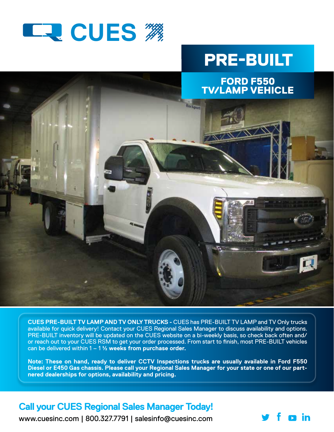

## PRE-BUILT

п in



**CUES PRE-BUILT TV LAMP AND TV ONLY TRUCKS -** CUES has PRE-BUILT TV LAMP and TV Only trucks available for quick delivery! Contact your CUES Regional Sales Manager to discuss availability and options. PRE-BUILT inventory will be updated on the CUES website on a bi-weekly basis, so check back often and/ or reach out to your CUES RSM to get your order processed. From start to finish, most PRE-BUILT vehicles can be delivered within 1 – 1 ½ **weeks from purchase order.** 

**Note: These on hand, ready to deliver CCTV Inspections trucks are usually available in Ford F550 Diesel or E450 Gas chassis. Please call your Regional Sales Manager for your state or one of our partnered dealerships for options, availability and pricing.** 

## **Call your CUES Regional Sales Manager Today!**

www.cuesinc.com | 800.327.7791 | salesinfo@cuesinc.com